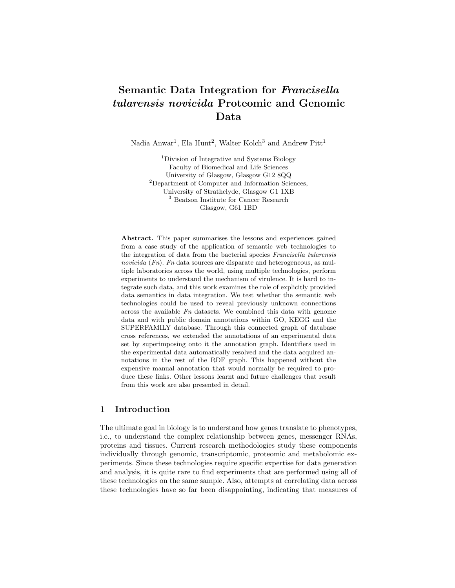# Semantic Data Integration for Francisella tularensis novicida Proteomic and Genomic Data

Nadia Anwar<sup>1</sup>, Ela Hunt<sup>2</sup>, Walter Kolch<sup>3</sup> and Andrew Pitt<sup>1</sup>

<sup>1</sup>Division of Integrative and Systems Biology Faculty of Biomedical and Life Sciences University of Glasgow, Glasgow G12 8QQ <sup>2</sup>Department of Computer and Information Sciences, University of Strathclyde, Glasgow G1 1XB <sup>3</sup> Beatson Institute for Cancer Research Glasgow, G61 1BD

Abstract. This paper summarises the lessons and experiences gained from a case study of the application of semantic web technologies to the integration of data from the bacterial species Francisella tularensis novicida  $(F_n)$ . Fn data sources are disparate and heterogeneous, as multiple laboratories across the world, using multiple technologies, perform experiments to understand the mechanism of virulence. It is hard to integrate such data, and this work examines the role of explicitly provided data semantics in data integration. We test whether the semantic web technologies could be used to reveal previously unknown connections across the available  $Fn$  datasets. We combined this data with genome data and with public domain annotations within GO, KEGG and the SUPERFAMILY database. Through this connected graph of database cross references, we extended the annotations of an experimental data set by superimposing onto it the annotation graph. Identifiers used in the experimental data automatically resolved and the data acquired annotations in the rest of the RDF graph. This happened without the expensive manual annotation that would normally be required to produce these links. Other lessons learnt and future challenges that result from this work are also presented in detail.

### 1 Introduction

The ultimate goal in biology is to understand how genes translate to phenotypes, i.e., to understand the complex relationship between genes, messenger RNAs, proteins and tissues. Current research methodologies study these components individually through genomic, transcriptomic, proteomic and metabolomic experiments. Since these technologies require specific expertise for data generation and analysis, it is quite rare to find experiments that are performed using all of these technologies on the same sample. Also, attempts at correlating data across these technologies have so far been disappointing, indicating that measures of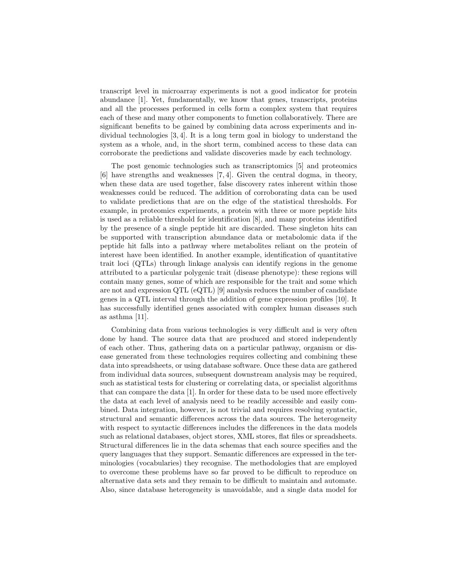transcript level in microarray experiments is not a good indicator for protein abundance [1]. Yet, fundamentally, we know that genes, transcripts, proteins and all the processes performed in cells form a complex system that requires each of these and many other components to function collaboratively. There are significant benefits to be gained by combining data across experiments and individual technologies [3, 4]. It is a long term goal in biology to understand the system as a whole, and, in the short term, combined access to these data can corroborate the predictions and validate discoveries made by each technology.

The post genomic technologies such as transcriptomics [5] and proteomics [6] have strengths and weaknesses [7, 4]. Given the central dogma, in theory, when these data are used together, false discovery rates inherent within those weaknesses could be reduced. The addition of corroborating data can be used to validate predictions that are on the edge of the statistical thresholds. For example, in proteomics experiments, a protein with three or more peptide hits is used as a reliable threshold for identification [8], and many proteins identified by the presence of a single peptide hit are discarded. These singleton hits can be supported with transcription abundance data or metabolomic data if the peptide hit falls into a pathway where metabolites reliant on the protein of interest have been identified. In another example, identification of quantitative trait loci (QTLs) through linkage analysis can identify regions in the genome attributed to a particular polygenic trait (disease phenotype): these regions will contain many genes, some of which are responsible for the trait and some which are not and expression QTL (eQTL) [9] analysis reduces the number of candidate genes in a QTL interval through the addition of gene expression profiles [10]. It has successfully identified genes associated with complex human diseases such as asthma [11].

Combining data from various technologies is very difficult and is very often done by hand. The source data that are produced and stored independently of each other. Thus, gathering data on a particular pathway, organism or disease generated from these technologies requires collecting and combining these data into spreadsheets, or using database software. Once these data are gathered from individual data sources, subsequent downstream analysis may be required, such as statistical tests for clustering or correlating data, or specialist algorithms that can compare the data [1]. In order for these data to be used more effectively the data at each level of analysis need to be readily accessible and easily combined. Data integration, however, is not trivial and requires resolving syntactic, structural and semantic differences across the data sources. The heterogeneity with respect to syntactic differences includes the differences in the data models such as relational databases, object stores, XML stores, flat files or spreadsheets. Structural differences lie in the data schemas that each source specifies and the query languages that they support. Semantic differences are expressed in the terminologies (vocabularies) they recognise. The methodologies that are employed to overcome these problems have so far proved to be difficult to reproduce on alternative data sets and they remain to be difficult to maintain and automate. Also, since database heterogeneity is unavoidable, and a single data model for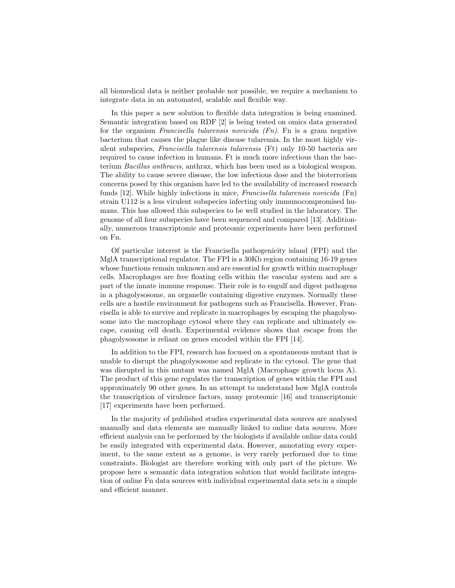all biomedical data is neither probable nor possible, we require a mechanism to integrate data in an automated, scalable and flexible way.

In this paper a new solution to flexible data integration is being examined. Semantic integration based on RDF [2] is being tested on omics data generated for the organism Francisella tularensis novicida  $(Fn)$ . Fn is a gram negative bacterium that causes the plague like disease tularemia. In the most highly virulent subspecies, Francisella tularensis tularensis (Ft) only 10-50 bacteria are required to cause infection in humans. Ft is much more infectious than the bacterium Bacillus anthracis, anthrax, which has been used as a biological weapon. The ability to cause severe disease, the low infectious dose and the bioterrorism concerns posed by this organism have led to the availability of increased research funds [12]. While highly infectious in mice, Francisella tularensis novicida (Fn) strain U112 is a less virulent subspecies infecting only immunocompromised humans. This has allowed this subspecies to be well studied in the laboratory. The genome of all four subspecies have been sequenced and compared [13]. Additionally, numerous transcriptomic and proteomic experiments have been performed on Fn.

Of particular interest is the Francisella pathogenicity island (FPI) and the MglA transcriptional regulator. The FPI is a 30Kb region containing 16-19 genes whose functions remain unknown and are essential for growth within macrophage cells. Macrophages are free floating cells within the vascular system and are a part of the innate immune response. Their role is to engulf and digest pathogens in a phagolysosome, an organelle containing digestive enzymes. Normally these cells are a hostile environment for pathogens such as Francisella. However, Francisella is able to survive and replicate in macrophages by escaping the phagolysosome into the macrophage cytosol where they can replicate and ultimately escape, causing cell death. Experimental evidence shows that escape from the phagolysosome is reliant on genes encoded within the FPI [14].

In addition to the FPI, research has focused on a spontaneous mutant that is unable to disrupt the phagolysosome and replicate in the cytosol. The gene that was disrupted in this mutant was named MglA (Macrophage growth locus A). The product of this gene regulates the transcription of genes within the FPI and approximately 90 other genes. In an attempt to understand how MglA controls the transcription of virulence factors, many proteomic [16] and transcriptomic [17] experiments have been performed.

In the majority of published studies experimental data sources are analysed manually and data elements are manually linked to online data sources. More efficient analysis can be performed by the biologists if available online data could be easily integrated with experimental data. However, annotating every experiment, to the same extent as a genome, is very rarely performed due to time constraints. Biologist are therefore working with only part of the picture. We propose here a semantic data integration solution that would facilitate integration of online Fn data sources with individual experimental data sets in a simple and efficient manner.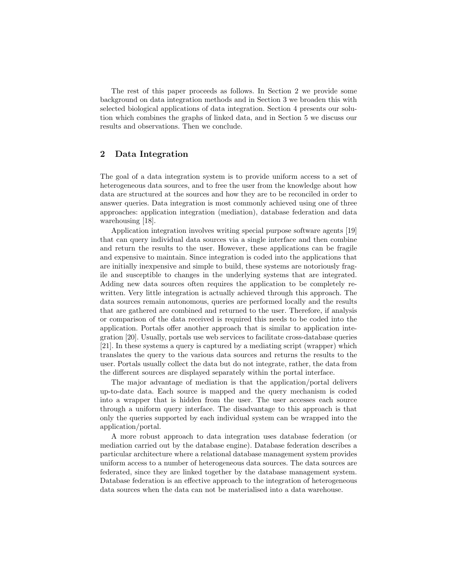The rest of this paper proceeds as follows. In Section 2 we provide some background on data integration methods and in Section 3 we broaden this with selected biological applications of data integration. Section 4 presents our solution which combines the graphs of linked data, and in Section 5 we discuss our results and observations. Then we conclude.

# 2 Data Integration

The goal of a data integration system is to provide uniform access to a set of heterogeneous data sources, and to free the user from the knowledge about how data are structured at the sources and how they are to be reconciled in order to answer queries. Data integration is most commonly achieved using one of three approaches: application integration (mediation), database federation and data warehousing [18].

Application integration involves writing special purpose software agents [19] that can query individual data sources via a single interface and then combine and return the results to the user. However, these applications can be fragile and expensive to maintain. Since integration is coded into the applications that are initially inexpensive and simple to build, these systems are notoriously fragile and susceptible to changes in the underlying systems that are integrated. Adding new data sources often requires the application to be completely rewritten. Very little integration is actually achieved through this approach. The data sources remain autonomous, queries are performed locally and the results that are gathered are combined and returned to the user. Therefore, if analysis or comparison of the data received is required this needs to be coded into the application. Portals offer another approach that is similar to application integration [20]. Usually, portals use web services to facilitate cross-database queries [21]. In these systems a query is captured by a mediating script (wrapper) which translates the query to the various data sources and returns the results to the user. Portals usually collect the data but do not integrate, rather, the data from the different sources are displayed separately within the portal interface.

The major advantage of mediation is that the application/portal delivers up-to-date data. Each source is mapped and the query mechanism is coded into a wrapper that is hidden from the user. The user accesses each source through a uniform query interface. The disadvantage to this approach is that only the queries supported by each individual system can be wrapped into the application/portal.

A more robust approach to data integration uses database federation (or mediation carried out by the database engine). Database federation describes a particular architecture where a relational database management system provides uniform access to a number of heterogeneous data sources. The data sources are federated, since they are linked together by the database management system. Database federation is an effective approach to the integration of heterogeneous data sources when the data can not be materialised into a data warehouse.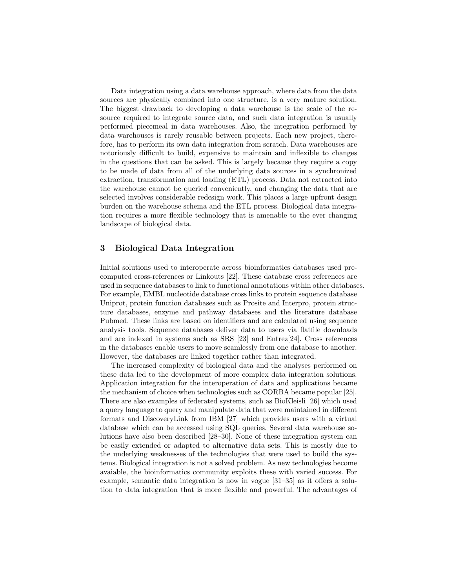Data integration using a data warehouse approach, where data from the data sources are physically combined into one structure, is a very mature solution. The biggest drawback to developing a data warehouse is the scale of the resource required to integrate source data, and such data integration is usually performed piecemeal in data warehouses. Also, the integration performed by data warehouses is rarely reusable between projects. Each new project, therefore, has to perform its own data integration from scratch. Data warehouses are notoriously difficult to build, expensive to maintain and inflexible to changes in the questions that can be asked. This is largely because they require a copy to be made of data from all of the underlying data sources in a synchronized extraction, transformation and loading (ETL) process. Data not extracted into the warehouse cannot be queried conveniently, and changing the data that are selected involves considerable redesign work. This places a large upfront design burden on the warehouse schema and the ETL process. Biological data integration requires a more flexible technology that is amenable to the ever changing landscape of biological data.

# 3 Biological Data Integration

Initial solutions used to interoperate across bioinformatics databases used precomputed cross-references or Linkouts [22]. These database cross references are used in sequence databases to link to functional annotations within other databases. For example, EMBL nucleotide database cross links to protein sequence database Uniprot, protein function databases such as Prosite and Interpro, protein structure databases, enzyme and pathway databases and the literature database Pubmed. These links are based on identifiers and are calculated using sequence analysis tools. Sequence databases deliver data to users via flatfile downloads and are indexed in systems such as SRS [23] and Entrez[24]. Cross references in the databases enable users to move seamlessly from one database to another. However, the databases are linked together rather than integrated.

The increased complexity of biological data and the analyses performed on these data led to the development of more complex data integration solutions. Application integration for the interoperation of data and applications became the mechanism of choice when technologies such as CORBA became popular [25]. There are also examples of federated systems, such as BioKleisli [26] which used a query language to query and manipulate data that were maintained in different formats and DiscoveryLink from IBM [27] which provides users with a virtual database which can be accessed using SQL queries. Several data warehouse solutions have also been described [28–30]. None of these integration system can be easily extended or adapted to alternative data sets. This is mostly due to the underlying weaknesses of the technologies that were used to build the systems. Biological integration is not a solved problem. As new technologies become avaiable, the bioinformatics community exploits these with varied success. For example, semantic data integration is now in vogue [31–35] as it offers a solution to data integration that is more flexible and powerful. The advantages of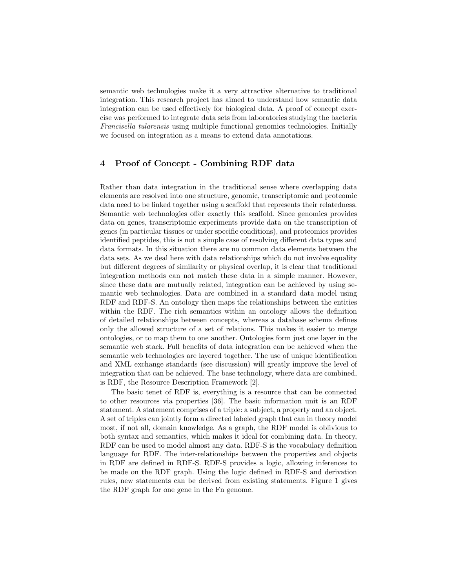semantic web technologies make it a very attractive alternative to traditional integration. This research project has aimed to understand how semantic data integration can be used effectively for biological data. A proof of concept exercise was performed to integrate data sets from laboratories studying the bacteria Francisella tularensis using multiple functional genomics technologies. Initially we focused on integration as a means to extend data annotations.

# 4 Proof of Concept - Combining RDF data

Rather than data integration in the traditional sense where overlapping data elements are resolved into one structure, genomic, transcriptomic and proteomic data need to be linked together using a scaffold that represents their relatedness. Semantic web technologies offer exactly this scaffold. Since genomics provides data on genes, transcriptomic experiments provide data on the transcription of genes (in particular tissues or under specific conditions), and proteomics provides identified peptides, this is not a simple case of resolving different data types and data formats. In this situation there are no common data elements between the data sets. As we deal here with data relationships which do not involve equality but different degrees of similarity or physical overlap, it is clear that traditional integration methods can not match these data in a simple manner. However, since these data are mutually related, integration can be achieved by using semantic web technologies. Data are combined in a standard data model using RDF and RDF-S. An ontology then maps the relationships between the entities within the RDF. The rich semantics within an ontology allows the definition of detailed relationships between concepts, whereas a database schema defines only the allowed structure of a set of relations. This makes it easier to merge ontologies, or to map them to one another. Ontologies form just one layer in the semantic web stack. Full benefits of data integration can be achieved when the semantic web technologies are layered together. The use of unique identification and XML exchange standards (see discussion) will greatly improve the level of integration that can be achieved. The base technology, where data are combined, is RDF, the Resource Description Framework [2].

The basic tenet of RDF is, everything is a resource that can be connected to other resources via properties [36]. The basic information unit is an RDF statement. A statement comprises of a triple: a subject, a property and an object. A set of triples can jointly form a directed labeled graph that can in theory model most, if not all, domain knowledge. As a graph, the RDF model is oblivious to both syntax and semantics, which makes it ideal for combining data. In theory, RDF can be used to model almost any data. RDF-S is the vocabulary definition language for RDF. The inter-relationships between the properties and objects in RDF are defined in RDF-S. RDF-S provides a logic, allowing inferences to be made on the RDF graph. Using the logic defined in RDF-S and derivation rules, new statements can be derived from existing statements. Figure 1 gives the RDF graph for one gene in the Fn genome.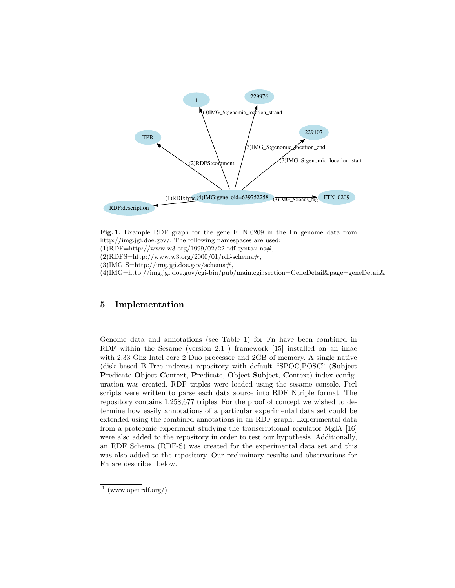



# 5 Implementation

Genome data and annotations (see Table 1) for Fn have been combined in RDF within the Sesame (version  $2.1<sup>1</sup>$ ) framework [15] installed on an imac with 2.33 Ghz Intel core 2 Duo processor and 2GB of memory. A single native (disk based B-Tree indexes) repository with default "SPOC,POSC" (Subject Predicate Object Context, Predicate, Object Subject, Context) index configuration was created. RDF triples were loaded using the sesame console. Perl scripts were written to parse each data source into RDF Ntriple format. The repository contains 1,258,677 triples. For the proof of concept we wished to determine how easily annotations of a particular experimental data set could be extended using the combined annotations in an RDF graph. Experimental data from a proteomic experiment studying the transcriptional regulator MglA [16] were also added to the repository in order to test our hypothesis. Additionally, an RDF Schema (RDF-S) was created for the experimental data set and this was also added to the repository. Our preliminary results and observations for Fn are described below.

<sup>1</sup> (www.openrdf.org/)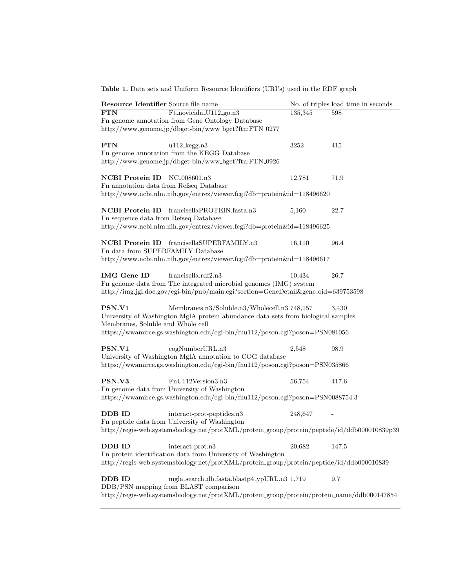Table 1. Data sets and Uniform Resource Identifiers (URI's) used in the RDF graph

| Resource Identifier Source file name                                                                             | No. of triples load time in seconds |
|------------------------------------------------------------------------------------------------------------------|-------------------------------------|
| Ft_novicida_U112_go.n3<br><b>FTN</b>                                                                             | 135,345<br>598                      |
| Fn genome annotation from Gene Ontology Database                                                                 |                                     |
| http://www.genome.jp/dbget-bin/www_bget?ftn:FTN_0277                                                             |                                     |
|                                                                                                                  |                                     |
| <b>FTN</b><br>$u112$ <sub>-kegg.n3</sub>                                                                         | 3252<br>415                         |
| Fn genome annotation from the KEGG Database                                                                      |                                     |
| http://www.genome.jp/dbget-bin/www_bget?ftn:FTN_0926                                                             |                                     |
|                                                                                                                  |                                     |
| NCBI Protein ID NC_008601.n3<br>Fn annotation data from Refseq Database                                          | 12,781<br>71.9                      |
| http://www.ncbi.nlm.nih.gov/entrez/viewer.fcgi?db=protein&id=118496620                                           |                                     |
|                                                                                                                  |                                     |
| <b>NCBI</b> Protein ID<br>francisellaPROTEIN.fasta.n3                                                            | 22.7<br>5,160                       |
| Fn sequence data from Refseq Database                                                                            |                                     |
| http://www.ncbi.nlm.nih.gov/entrez/viewer.fcgi?db=protein&id=118496625                                           |                                     |
|                                                                                                                  |                                     |
| NCBI Protein ID francisellaSUPERFAMILY.n3                                                                        | 16,110<br>96.4                      |
| Fn data from SUPERFAMILY Database                                                                                |                                     |
| http://www.ncbi.nlm.nih.gov/entrez/viewer.fcgi?db=protein&id=118496617                                           |                                     |
|                                                                                                                  |                                     |
| <b>IMG</b> Gene ID<br>francisella.rdf2.n3                                                                        | 10,434<br>26.7                      |
| Fn genome data from The integrated microbial genomes (IMG) system                                                |                                     |
| http://img.jgi.doe.gov/cgi-bin/pub/main.cgi?section=GeneDetail&gene_oid=639753598                                |                                     |
|                                                                                                                  |                                     |
| PSN.V1<br>Membranes.n3/Soluble.n3/Wholecell.n3 748,157                                                           | 3.430                               |
| University of Washington MglA protein abundance data sets from biological samples                                |                                     |
| Membranes, Soluble and Whole cell<br>https://wwamirce.gs.washington.edu/cgi-bin/fnu112/poson.cgi?poson=PSN081056 |                                     |
|                                                                                                                  |                                     |
| PSN.V1<br>cogNumberURL.n3                                                                                        | 2,548<br>98.9                       |
| University of Washington MglA annotation to COG database                                                         |                                     |
| https://wwamirce.gs.washington.edu/cgi-bin/fnu112/poson.cgi?poson=PSN035866                                      |                                     |
|                                                                                                                  |                                     |
| PSN.V3<br>FnU112Version3.n3                                                                                      | 56,754<br>417.6                     |
| Fn genome data from University of Washington                                                                     |                                     |
| https://wwamirce.gs.washington.edu/cgi-bin/fnu112/poson.cgi?poson=PSN0088754.3                                   |                                     |
|                                                                                                                  |                                     |
| <b>DDB ID</b><br>interact-prot-peptides.n3                                                                       | 248,647                             |
| Fn peptide data from University of Washington                                                                    |                                     |
| http://regis-web.systemsbiology.net/protXML/protein_group/protein/peptide/id/ddb000010839p39                     |                                     |
|                                                                                                                  |                                     |
| <b>DDB ID</b><br>interact-prot.n3                                                                                | 20,682<br>147.5                     |
| Fn protein identification data from University of Washington                                                     |                                     |
| http://regis-web.systemsbiology.net/protXML/protein_group/protein/peptide/id/ddb000010839                        |                                     |
|                                                                                                                  | $9.7\,$                             |
| DDB ID<br>mgla_search_db.fasta.blastp4_ypURL.n3 1,719<br>DDB/PSN mapping from BLAST comparison                   |                                     |
| http://regis-web.systemsbiology.net/protXML/protein_group/protein/protein_name/ddb000147854                      |                                     |
|                                                                                                                  |                                     |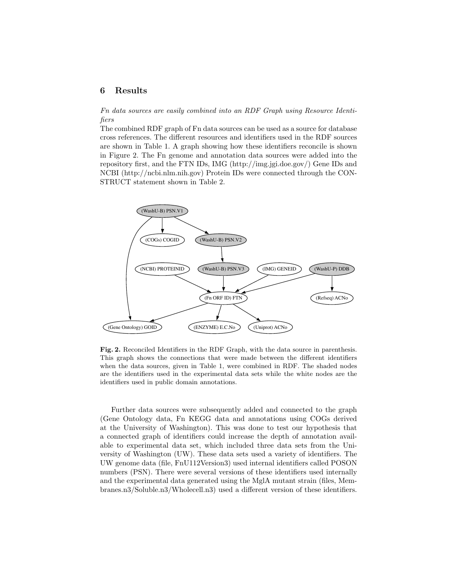#### 6 Results

Fn data sources are easily combined into an RDF Graph using Resource Identifiers

The combined RDF graph of Fn data sources can be used as a source for database cross references. The different resources and identifiers used in the RDF sources are shown in Table 1. A graph showing how these identifiers reconcile is shown in Figure 2. The Fn genome and annotation data sources were added into the repository first, and the FTN IDs, IMG (http://img.jgi.doe.gov/) Gene IDs and NCBI (http://ncbi.nlm.nih.gov) Protein IDs were connected through the CON-STRUCT statement shown in Table 2.



Fig. 2. Reconciled Identifiers in the RDF Graph, with the data source in parenthesis. This graph shows the connections that were made between the different identifiers when the data sources, given in Table 1, were combined in RDF. The shaded nodes are the identifiers used in the experimental data sets while the white nodes are the identifiers used in public domain annotations.

Further data sources were subsequently added and connected to the graph (Gene Ontology data, Fn KEGG data and annotations using COGs derived at the University of Washington). This was done to test our hypothesis that a connected graph of identifiers could increase the depth of annotation available to experimental data set, which included three data sets from the University of Washington (UW). These data sets used a variety of identifiers. The UW genome data (file, FnU112Version3) used internal identifiers called POSON numbers (PSN). There were several versions of these identifiers used internally and the experimental data generated using the MglA mutant strain (files, Membranes.n3/Soluble.n3/Wholecell.n3) used a different version of these identifiers.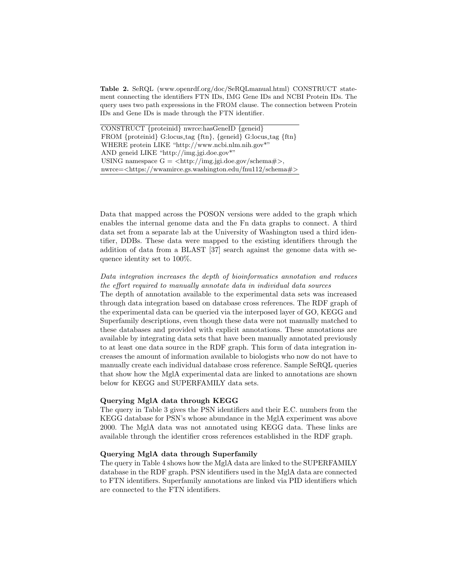Table 2. SeRQL (www.openrdf.org/doc/SeRQLmanual.html) CONSTRUCT statement connecting the identifiers FTN IDs, IMG Gene IDs and NCBI Protein IDs. The query uses two path expressions in the FROM clause. The connection between Protein IDs and Gene IDs is made through the FTN identifier.

CONSTRUCT {proteinid} nwrce:hasGeneID {geneid} FROM {proteinid} G:locus tag {ftn}, {geneid} G:locus tag {ftn} WHERE protein LIKE "http://www.ncbi.nlm.nih.gov\*" AND geneid LIKE "http://img.jgi.doe.gov\*" USING namespace  $G = \langle \frac{http://img.jgi.doe.gov/schema#}{$ , nwrce=<https://wwamirce.gs.washington.edu/fnu112/schema#>

Data that mapped across the POSON versions were added to the graph which enables the internal genome data and the Fn data graphs to connect. A third data set from a separate lab at the University of Washington used a third identifier, DDBs. These data were mapped to the existing identifiers through the addition of data from a BLAST [37] search against the genome data with sequence identity set to 100%.

# Data integration increases the depth of bioinformatics annotation and reduces the effort required to manually annotate data in individual data sources

The depth of annotation available to the experimental data sets was increased through data integration based on database cross references. The RDF graph of the experimental data can be queried via the interposed layer of GO, KEGG and Superfamily descriptions, even though these data were not manually matched to these databases and provided with explicit annotations. These annotations are available by integrating data sets that have been manually annotated previously to at least one data source in the RDF graph. This form of data integration increases the amount of information available to biologists who now do not have to manually create each individual database cross reference. Sample SeRQL queries that show how the MglA experimental data are linked to annotations are shown below for KEGG and SUPERFAMILY data sets.

#### Querying MglA data through KEGG

The query in Table 3 gives the PSN identifiers and their E.C. numbers from the KEGG database for PSN's whose abundance in the MglA experiment was above 2000. The MglA data was not annotated using KEGG data. These links are available through the identifier cross references established in the RDF graph.

#### Querying MglA data through Superfamily

The query in Table 4 shows how the MglA data are linked to the SUPERFAMILY database in the RDF graph. PSN identifiers used in the MglA data are connected to FTN identifiers. Superfamily annotations are linked via PID identifiers which are connected to the FTN identifiers.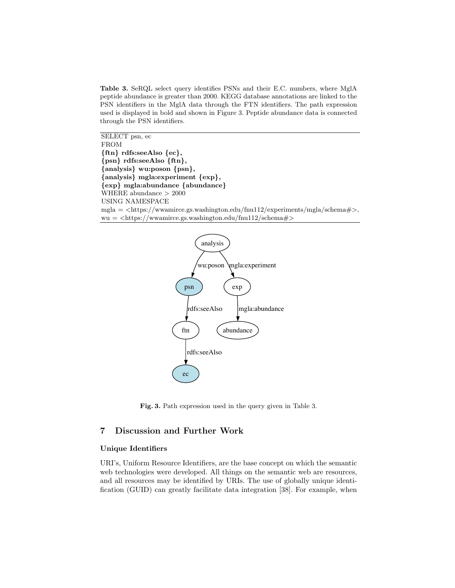Table 3. SeRQL select query identifies PSNs and their E.C. numbers, where MglA peptide abundance is greater than 2000. KEGG database annotations are linked to the PSN identifiers in the MglA data through the FTN identifiers. The path expression used is displayed in bold and shown in Figure 3. Peptide abundance data is connected through the PSN identifiers.

SELECT psn, ec FROM {ftn} rdfs:seeAlso {ec}, {psn} rdfs:seeAlso {ftn}, {analysis} wu:poson {psn}, {analysis} mgla:experiment {exp}, {exp} mgla:abundance {abundance} WHERE abundance > 2000 USING NAMESPACE  $mgla = \langle \text{https://www.irce.gs.washington.edu/fnu112/experiments/mgla/schema#}\rangle,$  $wu = \langle \frac{https://www.75,0.75}{https://www.75,0.75}, \frac{https://www.75,0.75}{https://www.75,0.75}, \frac{https://www.75,0.75}{https://www.75,0.75}, \frac{https://www.75,0.75}{https://www.75,0.75}, \frac{https://www.75,0.75}{https://www.75,0.75}, \frac{https://www.75,0.75}{https://www.75,0.75}, \frac{https://www.75,0.75}{https://www.75,0.75}, \frac{https://www.75,0.75}{https://www.75,0.75},$ 



Fig. 3. Path expression used in the query given in Table 3.

# 7 Discussion and Further Work

#### Unique Identifiers

URI's, Uniform Resource Identifiers, are the base concept on which the semantic web technologies were developed. All things on the semantic web are resources, and all resources may be identified by URIs. The use of globally unique identification (GUID) can greatly facilitate data integration [38]. For example, when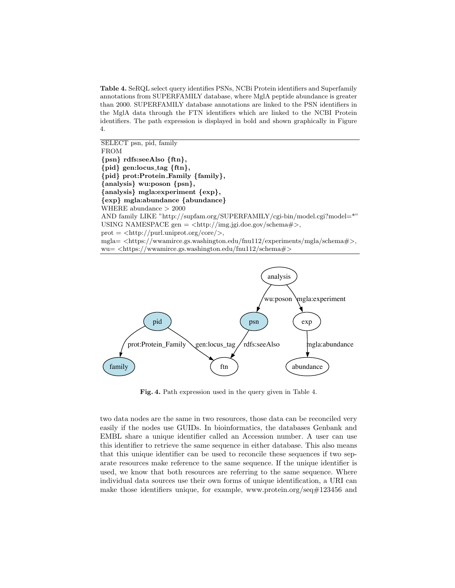Table 4. SeRQL select query identifies PSNs, NCBi Protein identifiers and Superfamily annotations from SUPERFAMILY database, where MglA peptide abundance is greater than 2000. SUPERFAMILY database annotations are linked to the PSN identifiers in the MglA data through the FTN identifiers which are linked to the NCBI Protein identifiers. The path expression is displayed in bold and shown graphically in Figure 4.





Fig. 4. Path expression used in the query given in Table 4.

two data nodes are the same in two resources, those data can be reconciled very easily if the nodes use GUIDs. In bioinformatics, the databases Genbank and EMBL share a unique identifier called an Accession number. A user can use this identifier to retrieve the same sequence in either database. This also means that this unique identifier can be used to reconcile these sequences if two separate resources make reference to the same sequence. If the unique identifier is used, we know that both resources are referring to the same sequence. Where individual data sources use their own forms of unique identification, a URI can make those identifiers unique, for example, www.protein.org/seq#123456 and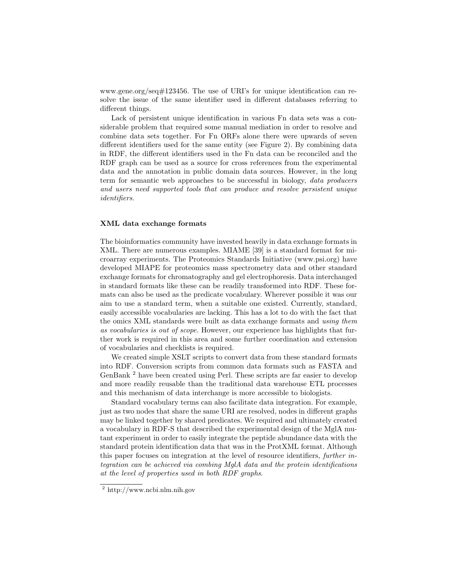www.gene.org/seq#123456. The use of URI's for unique identification can resolve the issue of the same identifier used in different databases referring to different things.

Lack of persistent unique identification in various Fn data sets was a considerable problem that required some manual mediation in order to resolve and combine data sets together. For Fn ORFs alone there were upwards of seven different identifiers used for the same entity (see Figure 2). By combining data in RDF, the different identifiers used in the Fn data can be reconciled and the RDF graph can be used as a source for cross references from the experimental data and the annotation in public domain data sources. However, in the long term for semantic web approaches to be successful in biology, data producers and users need supported tools that can produce and resolve persistent unique identifiers.

#### XML data exchange formats

The bioinformatics community have invested heavily in data exchange formats in XML. There are numerous examples. MIAME [39] is a standard format for microarray experiments. The Proteomics Standards Initiative (www.psi.org) have developed MIAPE for proteomics mass spectrometry data and other standard exchange formats for chromatography and gel electrophoresis. Data interchanged in standard formats like these can be readily transformed into RDF. These formats can also be used as the predicate vocabulary. Wherever possible it was our aim to use a standard term, when a suitable one existed. Currently, standard, easily accessible vocabularies are lacking. This has a lot to do with the fact that the omics XML standards were built as data exchange formats and using them as vocabularies is out of scope. However, our experience has highlights that further work is required in this area and some further coordination and extension of vocabularies and checklists is required.

We created simple XSLT scripts to convert data from these standard formats into RDF. Conversion scripts from common data formats such as FASTA and GenBank <sup>2</sup> have been created using Perl. These scripts are far easier to develop and more readily reusable than the traditional data warehouse ETL processes and this mechanism of data interchange is more accessible to biologists.

Standard vocabulary terms can also facilitate data integration. For example, just as two nodes that share the same URI are resolved, nodes in different graphs may be linked together by shared predicates. We required and ultimately created a vocabulary in RDF-S that described the experimental design of the MglA mutant experiment in order to easily integrate the peptide abundance data with the standard protein identification data that was in the ProtXML format. Although this paper focuses on integration at the level of resource identifiers, further integration can be achieved via combing MglA data and the protein identifications at the level of properties used in both RDF graphs.

<sup>2</sup> http://www.ncbi.nlm.nih.gov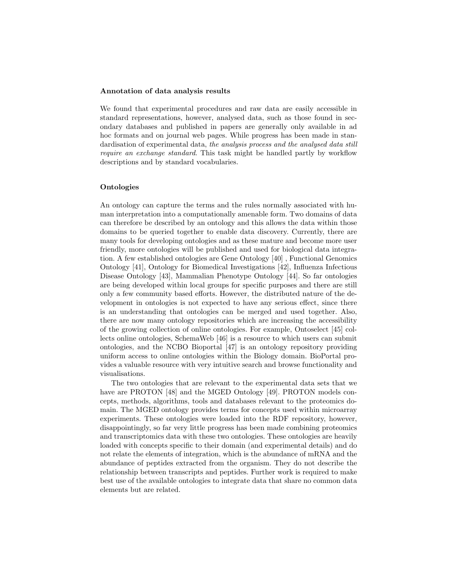#### Annotation of data analysis results

We found that experimental procedures and raw data are easily accessible in standard representations, however, analysed data, such as those found in secondary databases and published in papers are generally only available in ad hoc formats and on journal web pages. While progress has been made in standardisation of experimental data, the analysis process and the analysed data still require an exchange standard. This task might be handled partly by workflow descriptions and by standard vocabularies.

#### Ontologies

An ontology can capture the terms and the rules normally associated with human interpretation into a computationally amenable form. Two domains of data can therefore be described by an ontology and this allows the data within those domains to be queried together to enable data discovery. Currently, there are many tools for developing ontologies and as these mature and become more user friendly, more ontologies will be published and used for biological data integration. A few established ontologies are Gene Ontology [40] , Functional Genomics Ontology [41], Ontology for Biomedical Investigations [42], Influenza Infectious Disease Ontology [43], Mammalian Phenotype Ontology [44]. So far ontologies are being developed within local groups for specific purposes and there are still only a few community based efforts. However, the distributed nature of the development in ontologies is not expected to have any serious effect, since there is an understanding that ontologies can be merged and used together. Also, there are now many ontology repositories which are increasing the accessibility of the growing collection of online ontologies. For example, Ontoselect [45] collects online ontologies, SchemaWeb [46] is a resource to which users can submit ontologies, and the NCBO Bioportal [47] is an ontology repository providing uniform access to online ontologies within the Biology domain. BioPortal provides a valuable resource with very intuitive search and browse functionality and visualisations.

The two ontologies that are relevant to the experimental data sets that we have are PROTON [48] and the MGED Ontology [49]. PROTON models concepts, methods, algorithms, tools and databases relevant to the proteomics domain. The MGED ontology provides terms for concepts used within microarray experiments. These ontologies were loaded into the RDF repository, however, disappointingly, so far very little progress has been made combining proteomics and transcriptomics data with these two ontologies. These ontologies are heavily loaded with concepts specific to their domain (and experimental details) and do not relate the elements of integration, which is the abundance of mRNA and the abundance of peptides extracted from the organism. They do not describe the relationship between transcripts and peptides. Further work is required to make best use of the available ontologies to integrate data that share no common data elements but are related.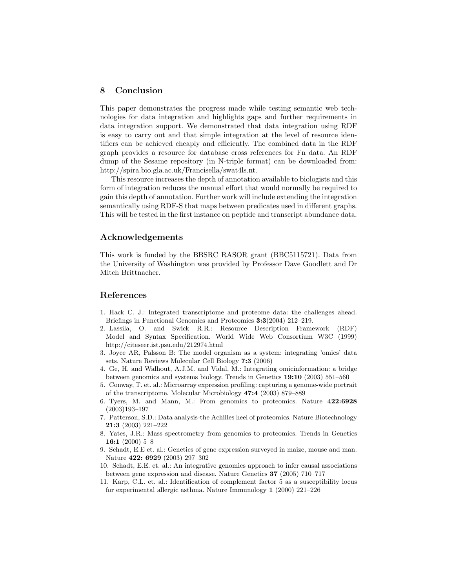# 8 Conclusion

This paper demonstrates the progress made while testing semantic web technologies for data integration and highlights gaps and further requirements in data integration support. We demonstrated that data integration using RDF is easy to carry out and that simple integration at the level of resource identifiers can be achieved cheaply and efficiently. The combined data in the RDF graph provides a resource for database cross references for Fn data. An RDF dump of the Sesame repository (in N-triple format) can be downloaded from: http://spira.bio.gla.ac.uk/Francisella/swat4ls.nt.

This resource increases the depth of annotation available to biologists and this form of integration reduces the manual effort that would normally be required to gain this depth of annotation. Further work will include extending the integration semantically using RDF-S that maps between predicates used in different graphs. This will be tested in the first instance on peptide and transcript abundance data.

## Acknowledgements

This work is funded by the BBSRC RASOR grant (BBC5115721). Data from the University of Washington was provided by Professor Dave Goodlett and Dr Mitch Brittnacher.

# References

- 1. Hack C. J.: Integrated transcriptome and proteome data: the challenges ahead. Briefings in Functional Genomics and Proteomics 3:3(2004) 212–219.
- 2. Lassila, O. and Swick R.R.: Resource Description Framework (RDF) Model and Syntax Specification. World Wide Web Consortium W3C (1999) http://citeseer.ist.psu.edu/212974.html
- 3. Joyce AR, Palsson B: The model organism as a system: integrating 'omics' data sets. Nature Reviews Molecular Cell Biology 7:3 (2006)
- 4. Ge, H. and Walhout, A.J.M. and Vidal, M.: Integrating omicinformation: a bridge between genomics and systems biology. Trends in Genetics 19:10 (2003) 551–560
- 5. Conway, T. et. al.: Microarray expression profiling: capturing a genome-wide portrait of the transcriptome. Molecular Microbiology 47:4 (2003) 879–889
- 6. Tyers, M. and Mann, M.: From genomics to proteomics. Nature 422:6928 (2003)193–197
- 7. Patterson, S.D.: Data analysis-the Achilles heel of proteomics. Nature Biotechnology 21:3 (2003) 221–222
- 8. Yates, J.R.: Mass spectrometry from genomics to proteomics. Trends in Genetics 16:1 (2000) 5–8
- 9. Schadt, E.E et. al.: Genetics of gene expression surveyed in maize, mouse and man. Nature 422: 6929 (2003) 297-302
- 10. Schadt, E.E. et. al.: An integrative genomics approach to infer causal associations between gene expression and disease. Nature Genetics 37 (2005) 710–717
- 11. Karp, C.L. et. al.: Identification of complement factor 5 as a susceptibility locus for experimental allergic asthma. Nature Immunology 1 (2000) 221–226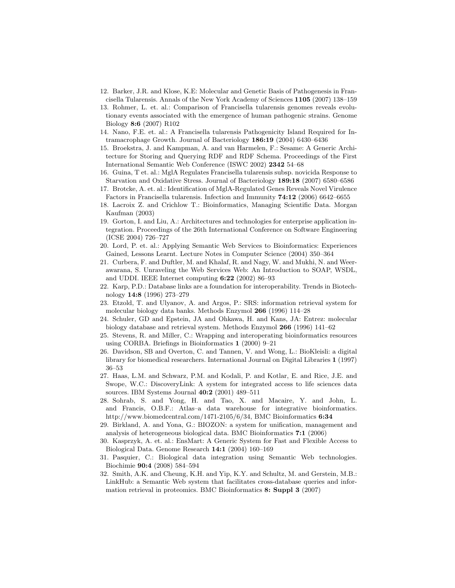- 12. Barker, J.R. and Klose, K.E: Molecular and Genetic Basis of Pathogenesis in Francisella Tularensis. Annals of the New York Academy of Sciences 1105 (2007) 138–159
- 13. Rohmer, L. et. al.: Comparison of Francisella tularensis genomes reveals evolutionary events associated with the emergence of human pathogenic strains. Genome Biology 8:6 (2007) R102
- 14. Nano, F.E. et. al.: A Francisella tularensis Pathogenicity Island Required for Intramacrophage Growth. Journal of Bacteriology 186:19 (2004) 6430–6436
- 15. Broekstra, J. and Kampman, A. and van Harmelen, F.: Sesame: A Generic Architecture for Storing and Querying RDF and RDF Schema. Proceedings of the First International Semantic Web Conference (ISWC 2002) 2342 54–68
- 16. Guina, T et. al.: MglA Regulates Francisella tularensis subsp. novicida Response to Starvation and Oxidative Stress. Journal of Bacteriology 189:18 (2007) 6580–6586
- 17. Brotcke, A. et. al.: Identification of MglA-Regulated Genes Reveals Novel Virulence Factors in Francisella tularensis. Infection and Immunity 74:12 (2006) 6642–6655
- 18. Lacroix Z. and Crichlow T.: Bioinformatics, Managing Scientific Data. Morgan Kaufman (2003)
- 19. Gorton, I. and Liu, A.: Architectures and technologies for enterprise application integration. Proceedings of the 26th International Conference on Software Engineering (ICSE 2004) 726–727
- 20. Lord, P. et. al.: Applying Semantic Web Services to Bioinformatics: Experiences Gained, Lessons Learnt. Lecture Notes in Computer Science (2004) 350–364
- 21. Curbera, F. and Duftler, M. and Khalaf, R. and Nagy, W. and Mukhi, N. and Weerawarana, S. Unraveling the Web Services Web: An Introduction to SOAP, WSDL, and UDDI. IEEE Internet computing 6:22 (2002) 86–93
- 22. Karp, P.D.: Database links are a foundation for interoperability. Trends in Biotechnology 14:8 (1996) 273–279
- 23. Etzold, T. and Ulyanov, A. and Argos, P.: SRS: information retrieval system for molecular biology data banks. Methods Enzymol 266 (1996) 114–28
- 24. Schuler, GD and Epstein, JA and Ohkawa, H. and Kans, JA: Entrez: molecular biology database and retrieval system. Methods Enzymol 266 (1996) 141–62
- 25. Stevens, R. and Miller, C.: Wrapping and interoperating bioinformatics resources using CORBA. Briefings in Bioinformatics 1 (2000) 9–21
- 26. Davidson, SB and Overton, C. and Tannen, V. and Wong, L.: BioKleisli: a digital library for biomedical researchers. International Journal on Digital Libraries 1 (1997) 36–53
- 27. Haas, L.M. and Schwarz, P.M. and Kodali, P. and Kotlar, E. and Rice, J.E. and Swope, W.C.: DiscoveryLink: A system for integrated access to life sciences data sources. IBM Systems Journal 40:2 (2001) 489–511
- 28. Sohrab, S. and Yong, H. and Tao, X. and Macaire, Y. and John, L. and Francis, O.B.F.: Atlas–a data warehouse for integrative bioinformatics. http://www.biomedcentral.com/1471-2105/6/34, BMC Bioinformatics 6:34
- 29. Birkland, A. and Yona, G.: BIOZON: a system for unification, management and analysis of heterogeneous biological data. BMC Bioinformatics 7:1 (2006)
- 30. Kasprzyk, A. et. al.: EnsMart: A Generic System for Fast and Flexible Access to Biological Data. Genome Research 14:1 (2004) 160–169
- 31. Pasquier, C.: Biological data integration using Semantic Web technologies. Biochimie 90:4 (2008) 584–594
- 32. Smith, A.K. and Cheung, K.H. and Yip, K.Y. and Schultz, M. and Gerstein, M.B.: LinkHub: a Semantic Web system that facilitates cross-database queries and information retrieval in proteomics. BMC Bioinformatics 8: Suppl 3 (2007)